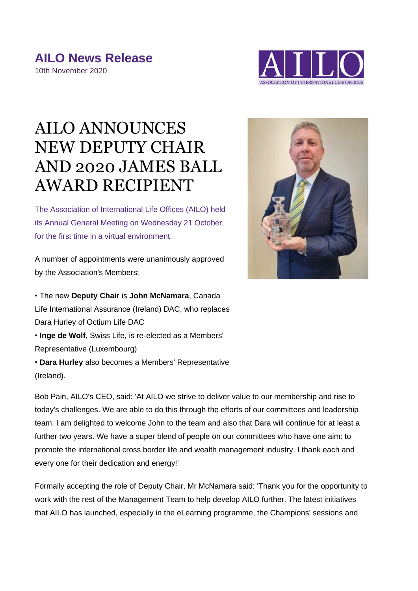## **AILO News Release** 10th November 2020



## AILO ANNOUNCES NEW DEPUTY CHAIR AND 2020 JAMES BALL AWARD RECIPIENT

The Association of International Life Offices (AILO) held its Annual General Meeting on Wednesday 21 October, for the first time in a virtual environment.

A number of appointments were unanimously approved by the Association's Members:

• The new **Deputy Chair** is **John McNamara**, Canada Life International Assurance (Ireland) DAC, who replaces Dara Hurley of Octium Life DAC • **Inge de Wolf**, Swiss Life, is re-elected as a Members' Representative (Luxembourg)

• **Dara Hurley** also becomes a Members' Representative (Ireland).

Bob Pain, AILO's CEO, said: 'At AILO we strive to deliver value to our membership and rise to today's challenges. We are able to do this through the efforts of our committees and leadership team. I am delighted to welcome John to the team and also that Dara will continue for at least a further two years. We have a super blend of people on our committees who have one aim: to promote the international cross border life and wealth management industry. I thank each and every one for their dedication and energy!'

Formally accepting the role of Deputy Chair, Mr McNamara said: 'Thank you for the opportunity to work with the rest of the Management Team to help develop AILO further. The latest initiatives that AILO has launched, especially in the eLearning programme, the Champions' sessions and

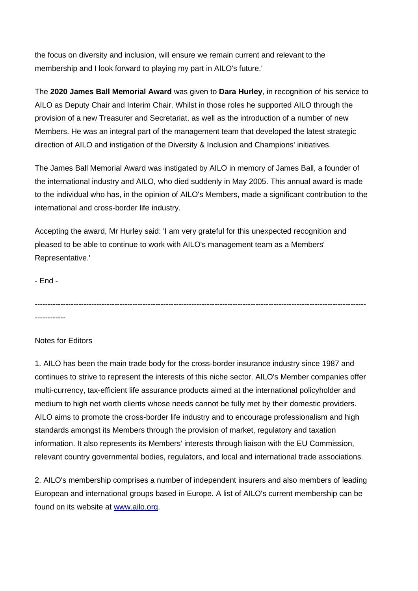the focus on diversity and inclusion, will ensure we remain current and relevant to the membership and I look forward to playing my part in AILO's future.'

The **2020 James Ball Memorial Award** was given to **Dara Hurley**, in recognition of his service to AILO as Deputy Chair and Interim Chair. Whilst in those roles he supported AILO through the provision of a new Treasurer and Secretariat, as well as the introduction of a number of new Members. He was an integral part of the management team that developed the latest strategic direction of AILO and instigation of the Diversity & Inclusion and Champions' initiatives.

The James Ball Memorial Award was instigated by AILO in memory of James Ball, a founder of the international industry and AILO, who died suddenly in May 2005. This annual award is made to the individual who has, in the opinion of AILO's Members, made a significant contribution to the international and cross-border life industry.

Accepting the award, Mr Hurley said: 'I am very grateful for this unexpected recognition and pleased to be able to continue to work with AILO's management team as a Members' Representative.'

- End -

--------------------------------------------------------------------------------------------------------------------------------- ------------

## Notes for Editors

1. AILO has been the main trade body for the cross-border insurance industry since 1987 and continues to strive to represent the interests of this niche sector. AILO's Member companies offer multi-currency, tax-efficient life assurance products aimed at the international policyholder and medium to high net worth clients whose needs cannot be fully met by their domestic providers. AILO aims to promote the cross-border life industry and to encourage professionalism and high standards amongst its Members through the provision of market, regulatory and taxation information. It also represents its Members' interests through liaison with the EU Commission, relevant country governmental bodies, regulators, and local and international trade associations.

2. AILO's membership comprises a number of independent insurers and also members of leading European and international groups based in Europe. A list of AILO's current membership can be found on its website at [www.ailo.org.](http://www.ailo.org/)